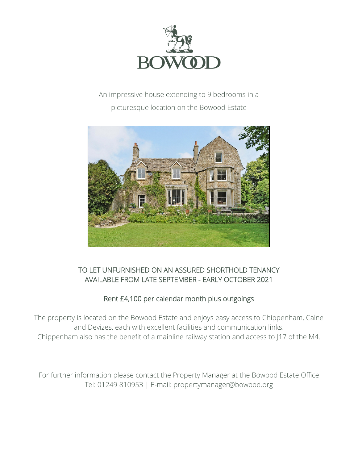

# An impressive house extending to 9 bedrooms in a picturesque location on the Bowood Estate



### TO LET UNFURNISHED ON AN ASSURED SHORTHOLD TENANCY AVAILABLE FROM LATE SEPTEMBER - EARLY OCTOBER 2021

## Rent £4,100 per calendar month plus outgoings

The property is located on the Bowood Estate and enjoys easy access to Chippenham, Calne and Devizes, each with excellent facilities and communication links. Chippenham also has the benefit of a mainline railway station and access to J17 of the M4.

For further information please contact the Property Manager at the Bowood Estate Office Tel: 01249 810953 | E-mail: [propertymanager@bowood.org](mailto:propertymanager@bowood.org)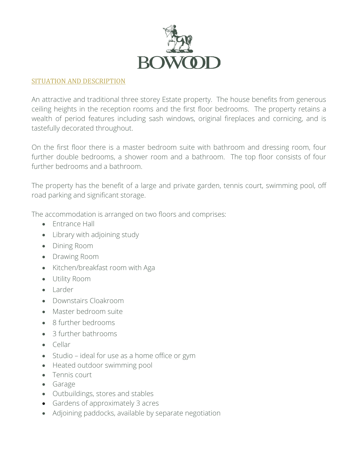

### SITUATION AND DESCRIPTION

An attractive and traditional three storey Estate property. The house benefits from generous ceiling heights in the reception rooms and the first floor bedrooms. The property retains a wealth of period features including sash windows, original fireplaces and cornicing, and is tastefully decorated throughout.

On the first floor there is a master bedroom suite with bathroom and dressing room, four further double bedrooms, a shower room and a bathroom. The top floor consists of four further bedrooms and a bathroom.

The property has the benefit of a large and private garden, tennis court, swimming pool, off road parking and significant storage.

The accommodation is arranged on two floors and comprises:

- Entrance Hall
- Library with adjoining study
- Dining Room
- Drawing Room
- Kitchen/breakfast room with Aga
- Utility Room
- Larder
- Downstairs Cloakroom
- Master bedroom suite
- 8 further bedrooms
- 3 further bathrooms
- Cellar
- Studio ideal for use as a home office or gym
- Heated outdoor swimming pool
- Tennis court
- Garage
- Outbuildings, stores and stables
- Gardens of approximately 3 acres
- Adjoining paddocks, available by separate negotiation